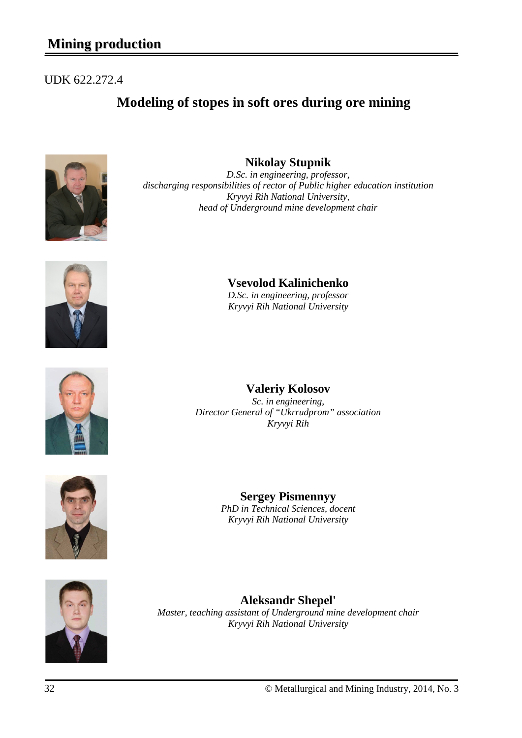# **Mining production**

## UDK 622.272.4

# **Modeling of stopes in soft ores during ore mining**





*D.Sc. in engineering, professor, discharging responsibilities of rector of Public higher education institution Kryvyi Rih National University, head of Underground mine development chair*



**Vsevolod Kalinichenko**

*D.Sc. in engineering, professor Kryvyi Rih National University*



## **Valeriy Kolosov**

*Sc. in engineering, Director General of "Ukrrudprom" association Kryvyi Rih*



**Sergey Pismennyy** *PhD in Technical Sciences, docent Kryvyi Rih National University*



**Aleksandr Shepel'** *Master, teaching assistant of Underground mine development chair Kryvyi Rih National University*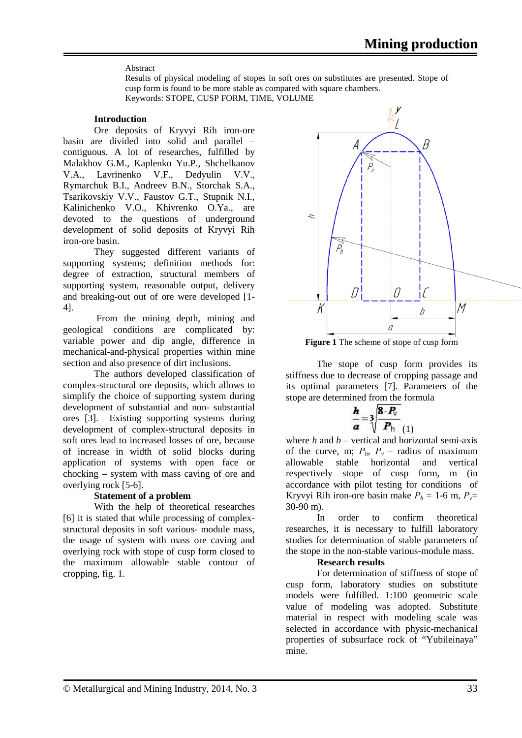#### Abstract

Results of physical modeling of stopes in soft ores on substitutes are presented. Stope of cusp form is found to be more stable as compared with square chambers. Keywords: STOPE, CUSP FORM, TIME, VOLUME

#### **Introduction**

Ore deposits of Kryvyi Rih iron-ore basin are divided into solid and parallel – contiguous. A lot of researches, fulfilled by Malakhov G.M., Kaplenko Yu.P., Shchelkanov V.A., Lavrinenko V.F., Dedyulin V.V., Rymarchuk B.I., Andreev B.N., Storchak S.A., Tsarikovskiy V.V., Faustov G.T., Stupnik N.I., Kalinichenko V.O., Khivrenko O.Ya., are devoted to the questions of underground development of solid deposits of Kryvyi Rih iron-ore basin.

They suggested different variants of supporting systems; definition methods for: degree of extraction, structural members of supporting system, reasonable output, delivery and breaking-out out of ore were developed [1- 4].

From the mining depth, mining and geological conditions are complicated by: variable power and dip angle, difference in mechanical-and-physical properties within mine section and also presence of dirt inclusions.

The authors developed classification of complex-structural ore deposits, which allows to simplify the choice of supporting system during development of substantial and non- substantial ores [3]. Existing supporting systems during development of complex-structural deposits in soft ores lead to increased losses of ore, because of increase in width of solid blocks during application of systems with open face or chocking – system with mass caving of ore and overlying rock [5-6].

### **Statement of a problem**

With the help of theoretical researches [6] it is stated that while processing of complexstructural deposits in soft various- module mass, the usage of system with mass ore caving and overlying rock with stope of cusp form closed to the maximum allowable stable contour of cropping, fig. 1.



**Figure 1** The scheme of stope of cusp form

The stope of cusp form provides its stiffness due to decrease of cropping passage and its optimal parameters [7]. Parameters of the stope are determined from the formula

$$
\frac{h}{a} = 3 \sqrt{\frac{8 \cdot P_v}{P_h}} \tag{1}
$$

where  $h$  and  $b$  – vertical and horizontal semi-axis of the curve, m;  $P_h$ ,  $P_v$  – radius of maximum allowable stable horizontal and vertical respectively stope of cusp form, m (in accordance with pilot testing for conditions of Kryvyi Rih iron-ore basin make  $P_h = 1$ -6 m,  $P_v =$ 30-90 m).

In order to confirm theoretical researches, it is necessary to fulfill laboratory studies for determination of stable parameters of the stope in the non-stable various-module mass.

### **Research results**

For determination of stiffness of stope of cusp form, laboratory studies on substitute models were fulfilled. 1:100 geometric scale value of modeling was adopted. Substitute material in respect with modeling scale was selected in accordance with physic-mechanical properties of subsurface rock of "Yubileinaya" mine.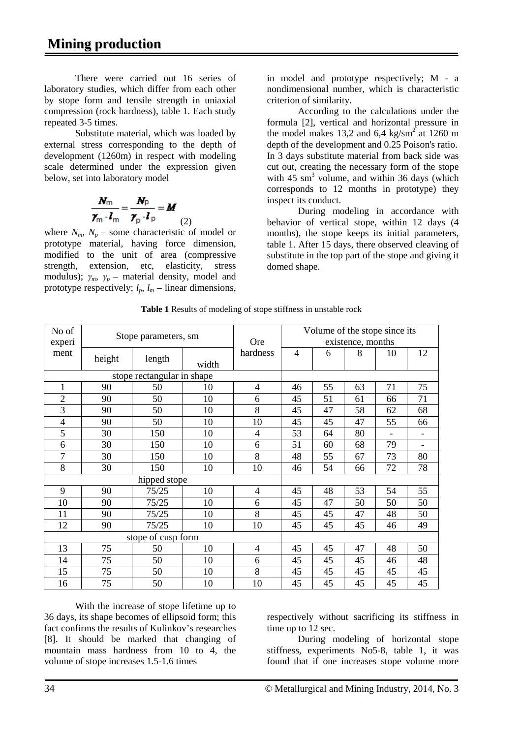There were carried out 16 series of laboratory studies, which differ from each other by stope form and tensile strength in uniaxial compression (rock hardness), table 1. Each study repeated 3-5 times.

Substitute material, which was loaded by external stress corresponding to the depth of development (1260m) in respect with modeling scale determined under the expression given below, set into laboratory model

$$
\frac{N_m}{\gamma_m \cdot l_m} = \frac{N_p}{\gamma_p \cdot l_p} = M
$$
 (2)

where  $N_m$ ,  $N_p$  – some characteristic of model or prototype material, having force dimension, modified to the unit of area (compressive strength, extension, etc, elasticity, stress modulus);  $\gamma_m$ ,  $\gamma_p$  – material density, model and prototype respectively;  $l_p$ ,  $l_m$  – linear dimensions, in model and prototype respectively; M - a nondimensional number, which is characteristic criterion of similarity.

According to the calculations under the formula [2], vertical and horizontal pressure in the model makes 13,2 and 6,4 kg/sm<sup>2</sup> at 1260 m depth of the development and 0.25 Poison's ratio. In 3 days substitute material from back side was cut out, creating the necessary form of the stope with  $45 \text{ sm}^3$  volume, and within  $36 \text{ days}$  (which corresponds to 12 months in prototype) they inspect its conduct.

During modeling in accordance with behavior of vertical stope, within 12 days (4 months), the stope keeps its initial parameters, table 1. After 15 days, there observed cleaving of substitute in the top part of the stope and giving it domed shape.

| No of                      | Stope parameters, sm |        |       |                | Volume of the stope since its<br>existence, months |    |    |    |                          |
|----------------------------|----------------------|--------|-------|----------------|----------------------------------------------------|----|----|----|--------------------------|
| experi                     |                      |        |       | <b>Ore</b>     |                                                    |    |    |    |                          |
| ment                       |                      |        |       | hardness       | $\overline{4}$                                     | 6  | 8  | 10 | 12                       |
|                            | height               | length | width |                |                                                    |    |    |    |                          |
| stope rectangular in shape |                      |        |       |                |                                                    |    |    |    |                          |
| 1                          | 90                   | 50     | 10    | $\overline{4}$ | 46                                                 | 55 | 63 | 71 | 75                       |
| $\overline{2}$             | 90                   | 50     | 10    | 6              | 45                                                 | 51 | 61 | 66 | 71                       |
| 3                          | 90                   | 50     | 10    | 8              | 45                                                 | 47 | 58 | 62 | 68                       |
| $\overline{4}$             | 90                   | 50     | 10    | 10             | 45                                                 | 45 | 47 | 55 | 66                       |
| 5                          | 30                   | 150    | 10    | 4              | 53                                                 | 64 | 80 |    | $\overline{\phantom{a}}$ |
| 6                          | 30                   | 150    | 10    | 6              | 51                                                 | 60 | 68 | 79 |                          |
| 7                          | 30                   | 150    | 10    | 8              | 48                                                 | 55 | 67 | 73 | 80                       |
| 8                          | 30                   | 150    | 10    | 10             | 46                                                 | 54 | 66 | 72 | 78                       |
| hipped stope               |                      |        |       |                |                                                    |    |    |    |                          |
| 9                          | 90                   | 75/25  | 10    | 4              | 45                                                 | 48 | 53 | 54 | 55                       |
| 10                         | 90                   | 75/25  | 10    | 6              | 45                                                 | 47 | 50 | 50 | 50                       |
| 11                         | 90                   | 75/25  | 10    | 8              | 45                                                 | 45 | 47 | 48 | 50                       |
| 12                         | 90                   | 75/25  | 10    | 10             | 45                                                 | 45 | 45 | 46 | 49                       |
|                            | stope of cusp form   |        |       |                |                                                    |    |    |    |                          |
| 13                         | 75                   | 50     | 10    | 4              | 45                                                 | 45 | 47 | 48 | 50                       |
| 14                         | 75                   | 50     | 10    | 6              | 45                                                 | 45 | 45 | 46 | 48                       |
| 15                         | 75                   | 50     | 10    | 8              | 45                                                 | 45 | 45 | 45 | 45                       |
| 16                         | 75                   | 50     | 10    | 10             | 45                                                 | 45 | 45 | 45 | 45                       |

**Table 1** Results of modeling of stope stiffness in unstable rock

With the increase of stope lifetime up to 36 days, its shape becomes of ellipsoid form; this fact confirms the results of Kulinkov's researches [8]. It should be marked that changing of mountain mass hardness from 10 to 4, the volume of stope increases 1.5-1.6 times

respectively without sacrificing its stiffness in time up to 12 sec.

During modeling of horizontal stope stiffness, experiments No5-8, table 1, it was found that if one increases stope volume more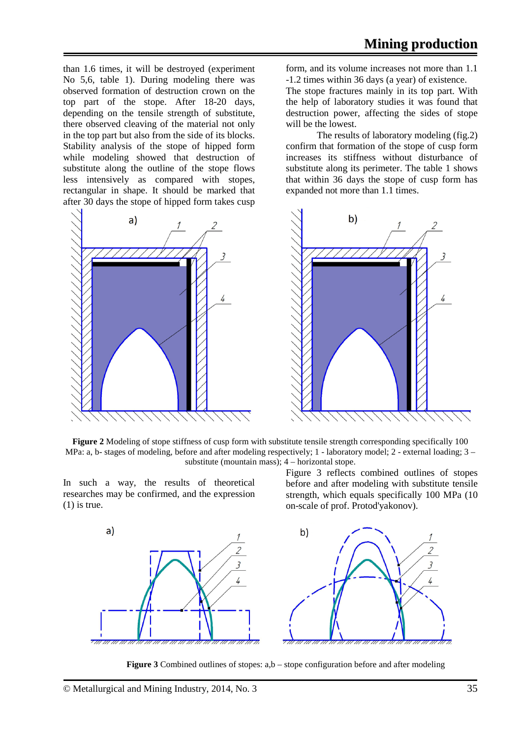than 1.6 times, it will be destroyed (experiment No 5,6, table 1). During modeling there was observed formation of destruction crown on the top part of the stope. After 18-20 days, depending on the tensile strength of substitute, there observed cleaving of the material not only in the top part but also from the side of its blocks. Stability analysis of the stope of hipped form while modeling showed that destruction of substitute along the outline of the stope flows less intensively as compared with stopes, rectangular in shape. It should be marked that after 30 days the stope of hipped form takes cusp



form, and its volume increases not more than 1.1 -1.2 times within 36 days (a year) of existence.

The stope fractures mainly in its top part. With the help of laboratory studies it was found that destruction power, affecting the sides of stope will be the lowest.

The results of laboratory modeling (fig.2) confirm that formation of the stope of cusp form increases its stiffness without disturbance of substitute along its perimeter. The table 1 shows that within 36 days the stope of cusp form has expanded not more than 1.1 times.



**Figure 2** Modeling of stope stiffness of cusp form with substitute tensile strength corresponding specifically 100 MPa: a, b- stages of modeling, before and after modeling respectively; 1 - laboratory model; 2 - external loading; 3 – substitute (mountain mass); 4 – horizontal stope.

In such a way, the results of theoretical researches may be confirmed, and the expression  $(1)$  is true.

Figure 3 reflects combined outlines of stopes before and after modeling with substitute tensile strength, which equals specifically 100 MPa (10 on-scale of prof. Protod'yakonov).



**Figure 3** Combined outlines of stopes: a,b – stope configuration before and after modeling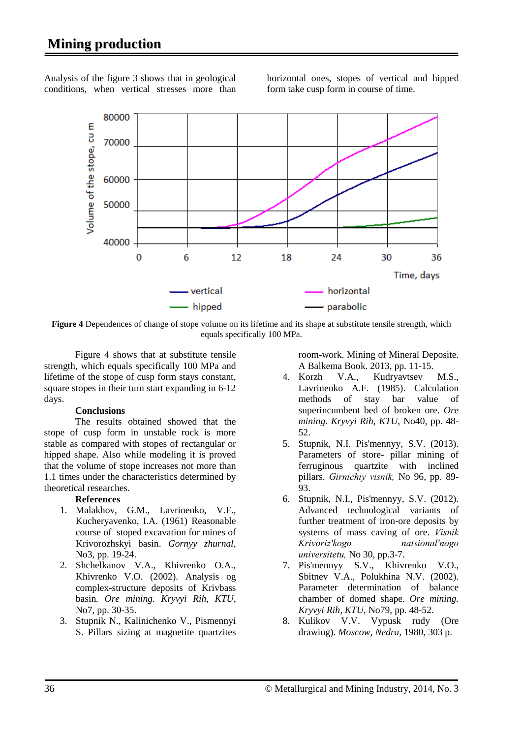Analysis of the figure 3 shows that in geological conditions, when vertical stresses more than horizontal ones, stopes of vertical and hipped form take cusp form in course of time.



**Figure 4** Dependences of change of stope volume on its lifetime and its shape at substitute tensile strength, which equals specifically 100 MPa.

Figure 4 shows that at substitute tensile strength, which equals specifically 100 MPa and lifetime of the stope of cusp form stays constant, square stopes in their turn start expanding in 6-12 days.

#### **Conclusions**

The results obtained showed that the stope of cusp form in unstable rock is more stable as compared with stopes of rectangular or hipped shape. Also while modeling it is proved that the volume of stope increases not more than 1.1 times under the characteristics determined by theoretical researches.

#### **References**

- 1. Malakhov, G.M., Lavrinenko, V.F., Kucheryavenko, I.A. (1961) Reasonable course of stoped excavation for mines of Krivorozhskyi basin. *Gornyy zhurnal*, No3, pp. 19-24.
- 2. Shchelkanov V.A., Khivrenko O.A., Khivrenko V.O. (2002). Analysis og complex-structure deposits of Krivbass basin*. Ore mining. Kryvyi Rih, KTU*, No7, pp. 30-35.
- 3. Stupnik N., Kalinichenko V., Pismennyi S. Pillars sizing at magnetite quartzites

room-work. Mining of Mineral Deposite. A Balkema Book. 2013, pp. 11-15.

- 4. Korzh V.A., Kudryavtsev M.S., Lavrinenko A.F. (1985). Calculation methods of stay bar value of superincumbent bed of broken ore. *Ore mining. Kryvyi Rih, KTU*, No40, pp. 48- 52.
- 5. Stupnik, N.I. Pis'mennyy, S.V. (2013). Parameters of store- pillar mining of ferruginous quartzite with inclined pillars. *Gіrnichiy vіsnik,* No 96, pp. 89- 93.
- 6. Stupnik, N.I., Pis'mennyy, S.V. (2012). Advanced technological variants of further treatment of iron-ore deposits by systems of mass caving of ore. *Vіsnik Krivorіz'kogo natsіonal'nogo unіversitetu,* No 30, pp.3-7.
- 7. Pis'mennyy S.V., Khivrenko V.O., Sbitnev V.A., Polukhina N.V. (2002). Parameter determination of balance chamber of domed shape. *Ore mining. Kryvyi Rih, KTU*, No79, pp. 48-52.
- 8. Kulikov V.V. Vypusk rudy (Ore drawing). *Moscow, Nedra,* 1980, 303 p.